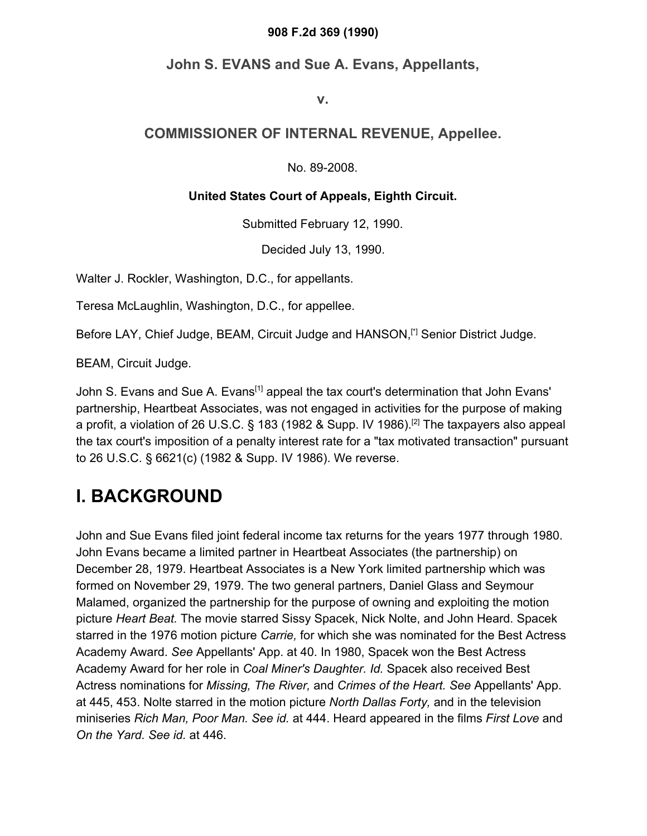#### **908 F.2d 369 (1990)**

### **John S. EVANS and Sue A. Evans, Appellants,**

**v.**

### **COMMISSIONER OF INTERNAL REVENUE, Appellee.**

No. 89-2008.

#### **United States Court of Appeals, Eighth Circuit.**

Submitted February 12, 1990.

Decided July 13, 1990.

Walter J. Rockler, Washington, D.C., for appellants.

Teresa McLaughlin, Washington, D.C., for appellee.

Before LAY, Chief Judge, BEAM, Circuit Judge and HANSON,<sup>[\*]</sup> Senior District Judge.

BEAM, Circuit Judge.

John S. Evans and Sue A. Evans<sup>[1]</sup> appeal the tax court's determination that John Evans' partnership, Heartbeat Associates, was not engaged in activities for the purpose of making a profit, a violation of 26 U.S.C. § 183 (1982 & Supp. IV 1986).[2] The taxpayers also appeal the tax court's imposition of a penalty interest rate for a "tax motivated transaction" pursuant to 26 U.S.C. § 6621(c) (1982 & Supp. IV 1986). We reverse.

## **I. BACKGROUND**

John and Sue Evans filed joint federal income tax returns for the years 1977 through 1980. John Evans became a limited partner in Heartbeat Associates (the partnership) on December 28, 1979. Heartbeat Associates is a New York limited partnership which was formed on November 29, 1979. The two general partners, Daniel Glass and Seymour Malamed, organized the partnership for the purpose of owning and exploiting the motion picture *Heart Beat.* The movie starred Sissy Spacek, Nick Nolte, and John Heard. Spacek starred in the 1976 motion picture *Carrie,* for which she was nominated for the Best Actress Academy Award. *See* Appellants' App. at 40. In 1980, Spacek won the Best Actress Academy Award for her role in *Coal Miner's Daughter. Id.* Spacek also received Best Actress nominations for *Missing, The River,* and *Crimes of the Heart. See* Appellants' App. at 445, 453. Nolte starred in the motion picture *North Dallas Forty,* and in the television miniseries *Rich Man, Poor Man. See id.* at 444. Heard appeared in the films *First Love* and *On the Yard. See id.* at 446.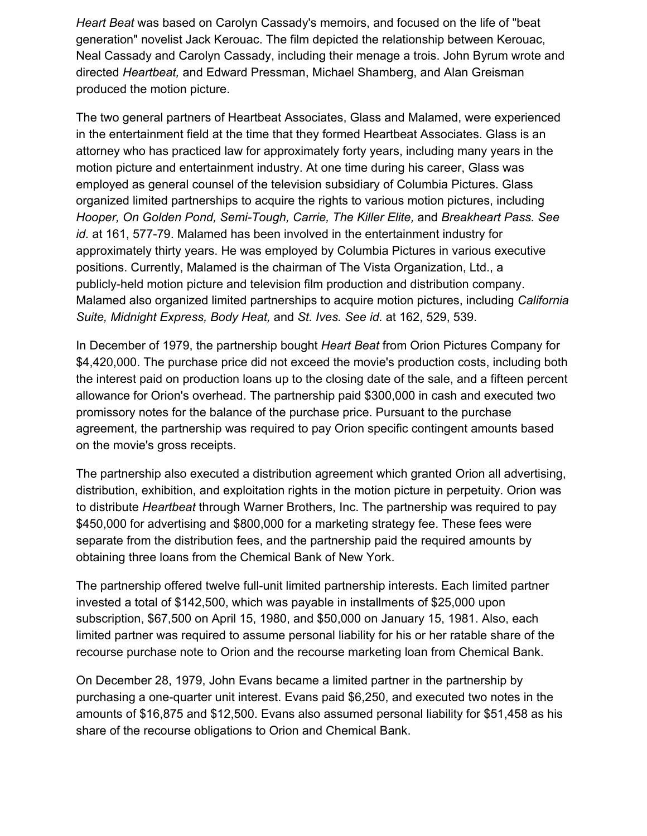*Heart Beat* was based on Carolyn Cassady's memoirs, and focused on the life of "beat generation" novelist Jack Kerouac. The film depicted the relationship between Kerouac, Neal Cassady and Carolyn Cassady, including their menage a trois. John Byrum wrote and directed *Heartbeat,* and Edward Pressman, Michael Shamberg, and Alan Greisman produced the motion picture.

The two general partners of Heartbeat Associates, Glass and Malamed, were experienced in the entertainment field at the time that they formed Heartbeat Associates. Glass is an attorney who has practiced law for approximately forty years, including many years in the motion picture and entertainment industry. At one time during his career, Glass was employed as general counsel of the television subsidiary of Columbia Pictures. Glass organized limited partnerships to acquire the rights to various motion pictures, including *Hooper, On Golden Pond, Semi-Tough, Carrie, The Killer Elite,* and *Breakheart Pass. See id.* at 161, 577-79. Malamed has been involved in the entertainment industry for approximately thirty years. He was employed by Columbia Pictures in various executive positions. Currently, Malamed is the chairman of The Vista Organization, Ltd., a publicly-held motion picture and television film production and distribution company. Malamed also organized limited partnerships to acquire motion pictures, including *California Suite, Midnight Express, Body Heat,* and *St. Ives. See id.* at 162, 529, 539.

In December of 1979, the partnership bought *Heart Beat* from Orion Pictures Company for \$4,420,000. The purchase price did not exceed the movie's production costs, including both the interest paid on production loans up to the closing date of the sale, and a fifteen percent allowance for Orion's overhead. The partnership paid \$300,000 in cash and executed two promissory notes for the balance of the purchase price. Pursuant to the purchase agreement, the partnership was required to pay Orion specific contingent amounts based on the movie's gross receipts.

The partnership also executed a distribution agreement which granted Orion all advertising, distribution, exhibition, and exploitation rights in the motion picture in perpetuity. Orion was to distribute *Heartbeat* through Warner Brothers, Inc. The partnership was required to pay \$450,000 for advertising and \$800,000 for a marketing strategy fee. These fees were separate from the distribution fees, and the partnership paid the required amounts by obtaining three loans from the Chemical Bank of New York.

The partnership offered twelve full-unit limited partnership interests. Each limited partner invested a total of \$142,500, which was payable in installments of \$25,000 upon subscription, \$67,500 on April 15, 1980, and \$50,000 on January 15, 1981. Also, each limited partner was required to assume personal liability for his or her ratable share of the recourse purchase note to Orion and the recourse marketing loan from Chemical Bank.

On December 28, 1979, John Evans became a limited partner in the partnership by purchasing a one-quarter unit interest. Evans paid \$6,250, and executed two notes in the amounts of \$16,875 and \$12,500. Evans also assumed personal liability for \$51,458 as his share of the recourse obligations to Orion and Chemical Bank.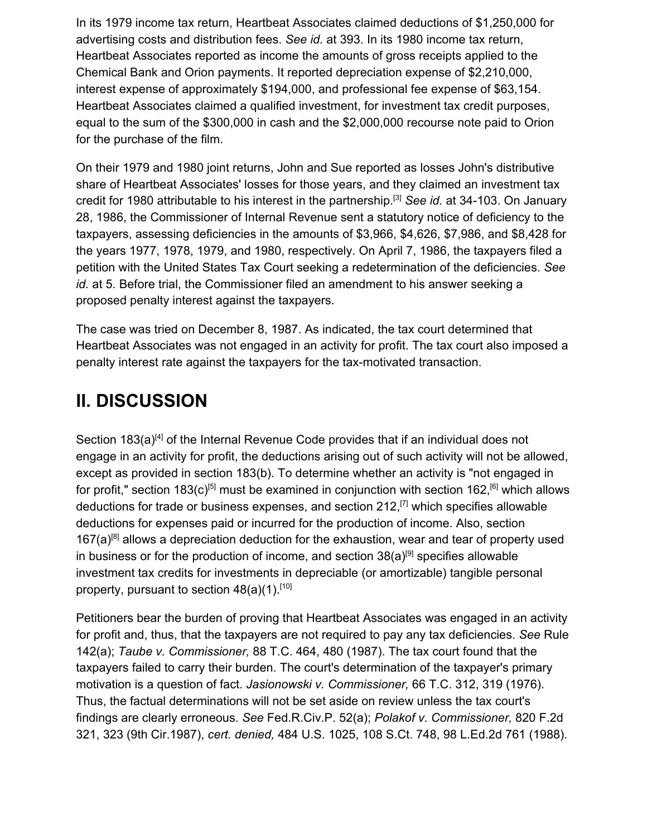In its 1979 income tax return, Heartbeat Associates claimed deductions of \$1,250,000 for advertising costs and distribution fees. *See id.* at 393. In its 1980 income tax return, Heartbeat Associates reported as income the amounts of gross receipts applied to the Chemical Bank and Orion payments. It reported depreciation expense of \$2,210,000, interest expense of approximately \$194,000, and professional fee expense of \$63,154. Heartbeat Associates claimed a qualified investment, for investment tax credit purposes, equal to the sum of the \$300,000 in cash and the \$2,000,000 recourse note paid to Orion for the purchase of the film.

On their 1979 and 1980 joint returns, John and Sue reported as losses John's distributive share of Heartbeat Associates' losses for those years, and they claimed an investment tax credit for 1980 attributable to his interest in the partnership.[3] *See id.* at 34-103. On January 28, 1986, the Commissioner of Internal Revenue sent a statutory notice of deficiency to the taxpayers, assessing deficiencies in the amounts of \$3,966, \$4,626, \$7,986, and \$8,428 for the years 1977, 1978, 1979, and 1980, respectively. On April 7, 1986, the taxpayers filed a petition with the United States Tax Court seeking a redetermination of the deficiencies. *See id.* at 5. Before trial, the Commissioner filed an amendment to his answer seeking a proposed penalty interest against the taxpayers.

The case was tried on December 8, 1987. As indicated, the tax court determined that Heartbeat Associates was not engaged in an activity for profit. The tax court also imposed a penalty interest rate against the taxpayers for the tax-motivated transaction.

## **II. DISCUSSION**

Section 183(a)<sup>[4]</sup> of the Internal Revenue Code provides that if an individual does not engage in an activity for profit, the deductions arising out of such activity will not be allowed, except as provided in section 183(b). To determine whether an activity is "not engaged in for profit," section 183(c)<sup>[5]</sup> must be examined in conjunction with section 162,<sup>[6]</sup> which allows deductions for trade or business expenses, and section  $212$ ,  $^{[7]}$  which specifies allowable deductions for expenses paid or incurred for the production of income. Also, section  $167(a)^{[8]}$  allows a depreciation deduction for the exhaustion, wear and tear of property used in business or for the production of income, and section  $38(a)^{[9]}$  specifies allowable investment tax credits for investments in depreciable (or amortizable) tangible personal property, pursuant to section  $48(a)(1)$ .<sup>[10]</sup>

Petitioners bear the burden of proving that Heartbeat Associates was engaged in an activity for profit and, thus, that the taxpayers are not required to pay any tax deficiencies. *See* Rule 142(a); *Taube v. Commissioner,* 88 T.C. 464, 480 (1987). The tax court found that the taxpayers failed to carry their burden. The court's determination of the taxpayer's primary motivation is a question of fact. *Jasionowski v. Commissioner,* 66 T.C. 312, 319 (1976). Thus, the factual determinations will not be set aside on review unless the tax court's findings are clearly erroneous. *See* Fed.R.Civ.P. 52(a); *Polakof v. Commissioner,* 820 F.2d 321, 323 (9th Cir.1987), *cert. denied,* 484 U.S. 1025, 108 S.Ct. 748, 98 L.Ed.2d 761 (1988).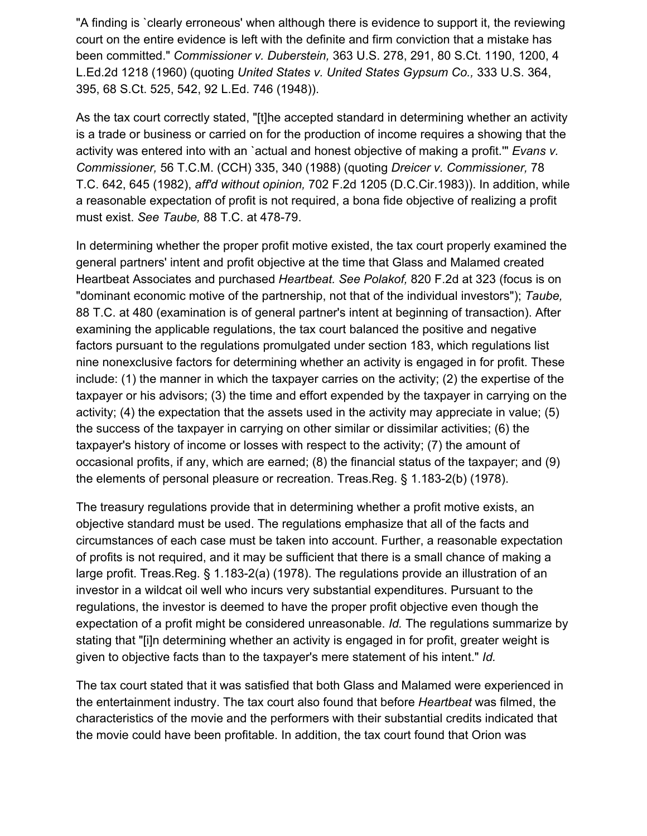"A finding is `clearly erroneous' when although there is evidence to support it, the reviewing court on the entire evidence is left with the definite and firm conviction that a mistake has been committed." *Commissioner v. Duberstein,* 363 U.S. 278, 291, 80 S.Ct. 1190, 1200, 4 L.Ed.2d 1218 (1960) (quoting *United States v. United States Gypsum Co.,* 333 U.S. 364, 395, 68 S.Ct. 525, 542, 92 L.Ed. 746 (1948)).

As the tax court correctly stated, "[t]he accepted standard in determining whether an activity is a trade or business or carried on for the production of income requires a showing that the activity was entered into with an `actual and honest objective of making a profit.'" *Evans v. Commissioner,* 56 T.C.M. (CCH) 335, 340 (1988) (quoting *Dreicer v. Commissioner,* 78 T.C. 642, 645 (1982), *aff'd without opinion,* 702 F.2d 1205 (D.C.Cir.1983)). In addition, while a reasonable expectation of profit is not required, a bona fide objective of realizing a profit must exist. *See Taube,* 88 T.C. at 478-79.

In determining whether the proper profit motive existed, the tax court properly examined the general partners' intent and profit objective at the time that Glass and Malamed created Heartbeat Associates and purchased *Heartbeat. See Polakof,* 820 F.2d at 323 (focus is on "dominant economic motive of the partnership, not that of the individual investors"); *Taube,* 88 T.C. at 480 (examination is of general partner's intent at beginning of transaction). After examining the applicable regulations, the tax court balanced the positive and negative factors pursuant to the regulations promulgated under section 183, which regulations list nine nonexclusive factors for determining whether an activity is engaged in for profit. These include: (1) the manner in which the taxpayer carries on the activity; (2) the expertise of the taxpayer or his advisors; (3) the time and effort expended by the taxpayer in carrying on the activity; (4) the expectation that the assets used in the activity may appreciate in value; (5) the success of the taxpayer in carrying on other similar or dissimilar activities; (6) the taxpayer's history of income or losses with respect to the activity; (7) the amount of occasional profits, if any, which are earned; (8) the financial status of the taxpayer; and (9) the elements of personal pleasure or recreation. Treas.Reg. § 1.183-2(b) (1978).

The treasury regulations provide that in determining whether a profit motive exists, an objective standard must be used. The regulations emphasize that all of the facts and circumstances of each case must be taken into account. Further, a reasonable expectation of profits is not required, and it may be sufficient that there is a small chance of making a large profit. Treas.Reg. § 1.183-2(a) (1978). The regulations provide an illustration of an investor in a wildcat oil well who incurs very substantial expenditures. Pursuant to the regulations, the investor is deemed to have the proper profit objective even though the expectation of a profit might be considered unreasonable. *Id.* The regulations summarize by stating that "[i]n determining whether an activity is engaged in for profit, greater weight is given to objective facts than to the taxpayer's mere statement of his intent." *Id.*

The tax court stated that it was satisfied that both Glass and Malamed were experienced in the entertainment industry. The tax court also found that before *Heartbeat* was filmed, the characteristics of the movie and the performers with their substantial credits indicated that the movie could have been profitable. In addition, the tax court found that Orion was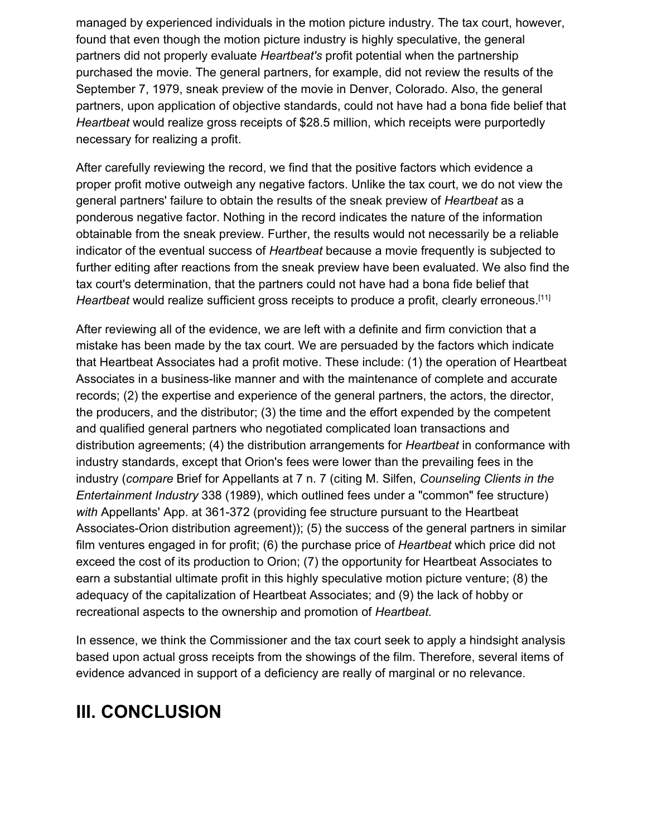managed by experienced individuals in the motion picture industry. The tax court, however, found that even though the motion picture industry is highly speculative, the general partners did not properly evaluate *Heartbeat's* profit potential when the partnership purchased the movie. The general partners, for example, did not review the results of the September 7, 1979, sneak preview of the movie in Denver, Colorado. Also, the general partners, upon application of objective standards, could not have had a bona fide belief that *Heartbeat* would realize gross receipts of \$28.5 million, which receipts were purportedly necessary for realizing a profit.

After carefully reviewing the record, we find that the positive factors which evidence a proper profit motive outweigh any negative factors. Unlike the tax court, we do not view the general partners' failure to obtain the results of the sneak preview of *Heartbeat* as a ponderous negative factor. Nothing in the record indicates the nature of the information obtainable from the sneak preview. Further, the results would not necessarily be a reliable indicator of the eventual success of *Heartbeat* because a movie frequently is subjected to further editing after reactions from the sneak preview have been evaluated. We also find the tax court's determination, that the partners could not have had a bona fide belief that *Heartbeat* would realize sufficient gross receipts to produce a profit, clearly erroneous.<sup>[11]</sup>

After reviewing all of the evidence, we are left with a definite and firm conviction that a mistake has been made by the tax court. We are persuaded by the factors which indicate that Heartbeat Associates had a profit motive. These include: (1) the operation of Heartbeat Associates in a business-like manner and with the maintenance of complete and accurate records; (2) the expertise and experience of the general partners, the actors, the director, the producers, and the distributor; (3) the time and the effort expended by the competent and qualified general partners who negotiated complicated loan transactions and distribution agreements; (4) the distribution arrangements for *Heartbeat* in conformance with industry standards, except that Orion's fees were lower than the prevailing fees in the industry (*compare* Brief for Appellants at 7 n. 7 (citing M. Silfen, *Counseling Clients in the Entertainment Industry* 338 (1989), which outlined fees under a "common" fee structure) *with* Appellants' App. at 361-372 (providing fee structure pursuant to the Heartbeat Associates-Orion distribution agreement)); (5) the success of the general partners in similar film ventures engaged in for profit; (6) the purchase price of *Heartbeat* which price did not exceed the cost of its production to Orion; (7) the opportunity for Heartbeat Associates to earn a substantial ultimate profit in this highly speculative motion picture venture; (8) the adequacy of the capitalization of Heartbeat Associates; and (9) the lack of hobby or recreational aspects to the ownership and promotion of *Heartbeat.*

In essence, we think the Commissioner and the tax court seek to apply a hindsight analysis based upon actual gross receipts from the showings of the film. Therefore, several items of evidence advanced in support of a deficiency are really of marginal or no relevance.

# **III. CONCLUSION**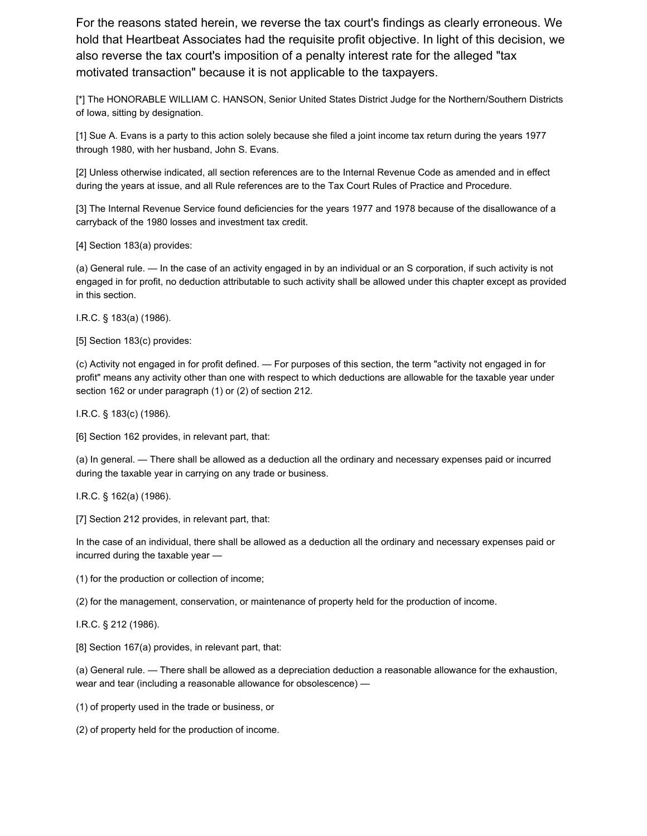For the reasons stated herein, we reverse the tax court's findings as clearly erroneous. We hold that Heartbeat Associates had the requisite profit objective. In light of this decision, we also reverse the tax court's imposition of a penalty interest rate for the alleged "tax motivated transaction" because it is not applicable to the taxpayers.

[\*] The HONORABLE WILLIAM C. HANSON, Senior United States District Judge for the Northern/Southern Districts of Iowa, sitting by designation.

[1] Sue A. Evans is a party to this action solely because she filed a joint income tax return during the years 1977 through 1980, with her husband, John S. Evans.

[2] Unless otherwise indicated, all section references are to the Internal Revenue Code as amended and in effect during the years at issue, and all Rule references are to the Tax Court Rules of Practice and Procedure.

[3] The Internal Revenue Service found deficiencies for the years 1977 and 1978 because of the disallowance of a carryback of the 1980 losses and investment tax credit.

[4] Section 183(a) provides:

(a) General rule. — In the case of an activity engaged in by an individual or an S corporation, if such activity is not engaged in for profit, no deduction attributable to such activity shall be allowed under this chapter except as provided in this section.

I.R.C. § 183(a) (1986).

[5] Section 183(c) provides:

(c) Activity not engaged in for profit defined. — For purposes of this section, the term "activity not engaged in for profit" means any activity other than one with respect to which deductions are allowable for the taxable year under section 162 or under paragraph (1) or (2) of section 212.

I.R.C. § 183(c) (1986).

[6] Section 162 provides, in relevant part, that:

(a) In general. — There shall be allowed as a deduction all the ordinary and necessary expenses paid or incurred during the taxable year in carrying on any trade or business.

I.R.C. § 162(a) (1986).

[7] Section 212 provides, in relevant part, that:

In the case of an individual, there shall be allowed as a deduction all the ordinary and necessary expenses paid or incurred during the taxable year —

(1) for the production or collection of income;

(2) for the management, conservation, or maintenance of property held for the production of income.

I.R.C. § 212 (1986).

[8] Section 167(a) provides, in relevant part, that:

(a) General rule. — There shall be allowed as a depreciation deduction a reasonable allowance for the exhaustion, wear and tear (including a reasonable allowance for obsolescence) —

(1) of property used in the trade or business, or

(2) of property held for the production of income.